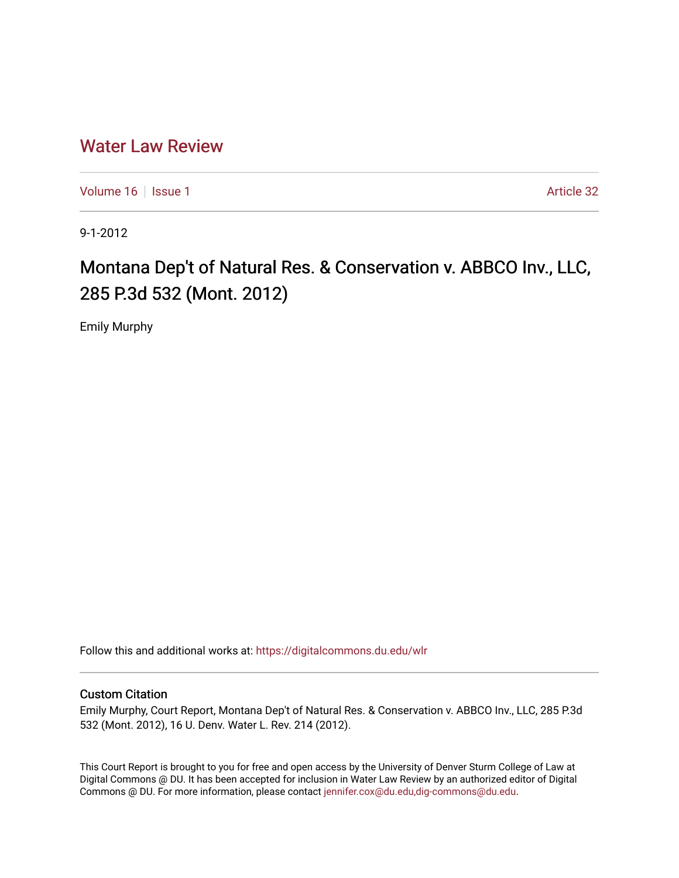# [Water Law Review](https://digitalcommons.du.edu/wlr)

[Volume 16](https://digitalcommons.du.edu/wlr/vol16) | [Issue 1](https://digitalcommons.du.edu/wlr/vol16/iss1) Article 32

9-1-2012

# Montana Dep't of Natural Res. & Conservation v. ABBCO Inv., LLC, 285 P.3d 532 (Mont. 2012)

Emily Murphy

Follow this and additional works at: [https://digitalcommons.du.edu/wlr](https://digitalcommons.du.edu/wlr?utm_source=digitalcommons.du.edu%2Fwlr%2Fvol16%2Fiss1%2F32&utm_medium=PDF&utm_campaign=PDFCoverPages) 

## Custom Citation

Emily Murphy, Court Report, Montana Dep't of Natural Res. & Conservation v. ABBCO Inv., LLC, 285 P.3d 532 (Mont. 2012), 16 U. Denv. Water L. Rev. 214 (2012).

This Court Report is brought to you for free and open access by the University of Denver Sturm College of Law at Digital Commons @ DU. It has been accepted for inclusion in Water Law Review by an authorized editor of Digital Commons @ DU. For more information, please contact [jennifer.cox@du.edu,dig-commons@du.edu.](mailto:jennifer.cox@du.edu,dig-commons@du.edu)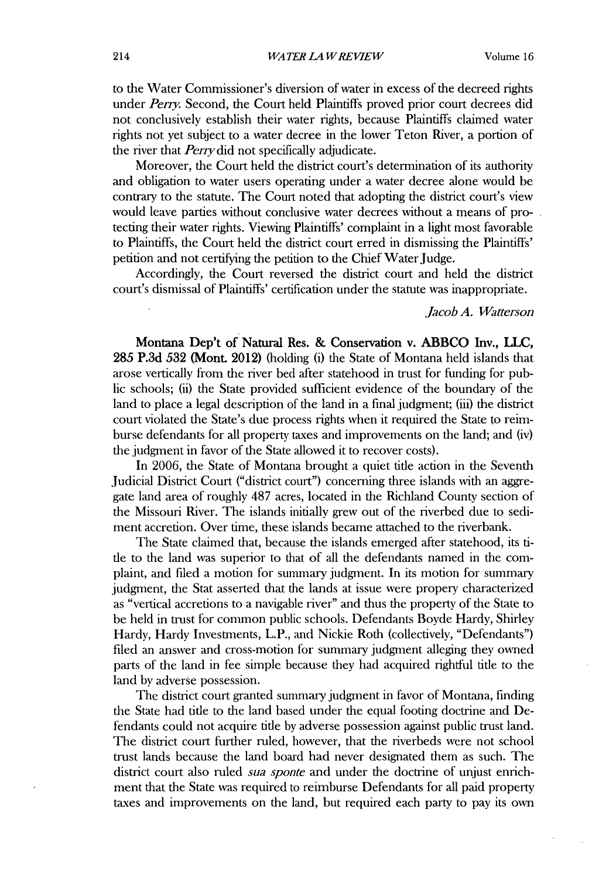to the Water Commissioner's diversion of water in excess of the decreed rights under *Perry.* Second, the Court held Plaintiffs proved prior court decrees did not conclusively establish their water rights, because Plaintiffs claimed water rights not yet subject to a water decree in the lower Teton River, a portion of the river that *Pery did* not specifically adjudicate.

Moreover, the Court held the district court's determination of its authority and obligation to water users operating under a water decree alone would be contrary to the statute. The Court noted that adopting the district court's view would leave parties without conclusive water decrees without a means of protecting their water rights. Viewing Plaintiffs' complaint in a light most favorable to Plaintiffs, the Court held the district court erred in dismissing the Plaintiffs' petition and not certifying the petition to the Chief Water Judge.

Accordingly, the Court reversed the district court and held the district court's dismissal of Plaintiffs' certification under the statute was inappropriate.

### *Jacob A. Watterson*

Montana **Dep't of Natural Res. & Conservation v. ABBCO Inv., LLC,** *285* **P.3d** *532* (Mont. 2012) (holding **(i)** the State of Montana held islands that arose vertically from the river bed after statehood in trust for funding for public schools; **(ii)** the State provided sufficient evidence of the boundary of the land to place a legal description of the land in a final judgment; **(iii)** the district court violated the State's due process rights when it required the State to reimburse defendants for all property taxes and improvements on the land; and (iv) the judgment in favor of the State allowed it to recover costs).

In **2006,** the State of Montana brought a quiet title action in the Seventh Judicial District Court ("district court") concerning three islands with an aggregate land area of roughly **487** acres, located in the Richland County section of the Missouri River. The islands initially grew out of the riverbed due to sediment accretion. Over time, these islands became attached to the riverbank.

The State claimed that, because the islands emerged after statehood, its title to the land was superior to that of all the defendants named in the complaint, and filed a motion for summary judgment. In its motion for summary judgment, the Stat asserted that the lands at issue were propery characterized as "vertical accretions to a navigable river" and thus the property of the State to be held in trust for common public schools. Defendants Boyde Hardy, Shirley Hardy, Hardy Investments, L.P., and Nickie Roth (collectively, "Defendants") filed an answer and cross-motion for sunnary judgment alleging they owned parts of the land in fee simple because they had acquired rightful title to the land **by** adverse possession.

The district court granted summary judgment in favor of Montana, finding the State had title to the land based under the equal footing doctrine and Defendants could not acquire tide **by** adverse possession against public trust land. The district court further ruled, however, that the riverbeds were not school trust lands because the land board had never designated them as such. The district court also ruled *sua sponte* and under the doctrine of unjust enrichment that the State was required to reimburse Defendants for all paid property taxes and improvements on the land, but required each party to pay its own